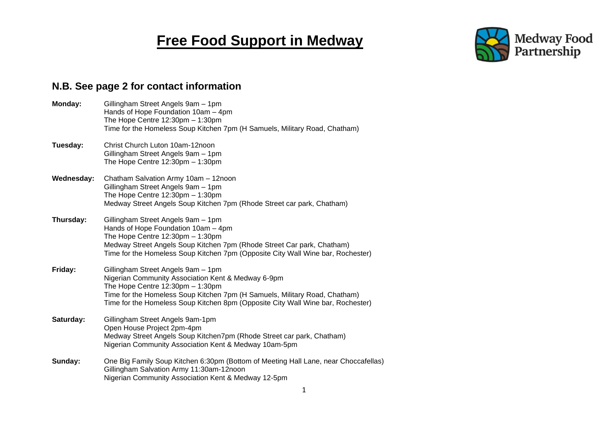## **Free Food Support in Medway**



## **N.B. See page 2 for contact information**

| Monday:    | Gillingham Street Angels 9am - 1pm<br>Hands of Hope Foundation 10am - 4pm<br>The Hope Centre $12:30$ pm $-1:30$ pm<br>Time for the Homeless Soup Kitchen 7pm (H Samuels, Military Road, Chatham)                                                                                                   |
|------------|----------------------------------------------------------------------------------------------------------------------------------------------------------------------------------------------------------------------------------------------------------------------------------------------------|
| Tuesday:   | Christ Church Luton 10am-12noon<br>Gillingham Street Angels 9am - 1pm<br>The Hope Centre $12:30 \text{pm} - 1:30 \text{pm}$                                                                                                                                                                        |
| Wednesday: | Chatham Salvation Army 10am - 12noon<br>Gillingham Street Angels 9am - 1pm<br>The Hope Centre $12:30 \text{pm} - 1:30 \text{pm}$<br>Medway Street Angels Soup Kitchen 7pm (Rhode Street car park, Chatham)                                                                                         |
| Thursday:  | Gillingham Street Angels 9am - 1pm<br>Hands of Hope Foundation 10am - 4pm<br>The Hope Centre $12:30$ pm $-1:30$ pm<br>Medway Street Angels Soup Kitchen 7pm (Rhode Street Car park, Chatham)<br>Time for the Homeless Soup Kitchen 7pm (Opposite City Wall Wine bar, Rochester)                    |
| Friday:    | Gillingham Street Angels 9am - 1pm<br>Nigerian Community Association Kent & Medway 6-9pm<br>The Hope Centre $12:30$ pm $-1:30$ pm<br>Time for the Homeless Soup Kitchen 7pm (H Samuels, Military Road, Chatham)<br>Time for the Homeless Soup Kitchen 8pm (Opposite City Wall Wine bar, Rochester) |
| Saturday:  | Gillingham Street Angels 9am-1pm<br>Open House Project 2pm-4pm<br>Medway Street Angels Soup Kitchen7pm (Rhode Street car park, Chatham)<br>Nigerian Community Association Kent & Medway 10am-5pm                                                                                                   |
| Sunday:    | One Big Family Soup Kitchen 6:30pm (Bottom of Meeting Hall Lane, near Choccafellas)<br>Gillingham Salvation Army 11:30am-12noon<br>Nigerian Community Association Kent & Medway 12-5pm                                                                                                             |